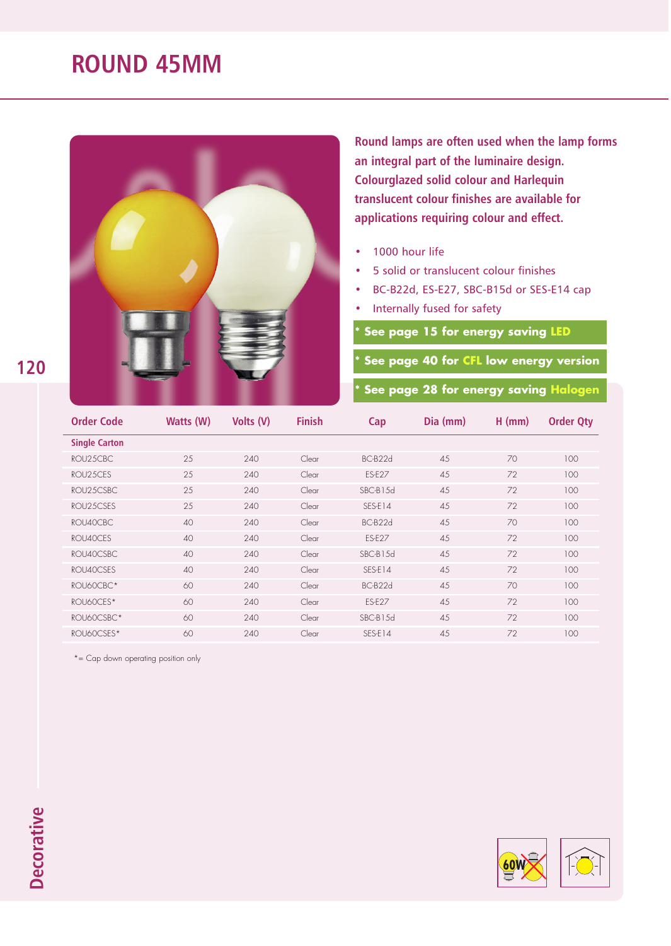## **ROUND 45MM**



**Round lamps are often used when the lamp forms an integral part of the luminaire design. Colourglazed solid colour and Harlequin translucent colour finishes are available for applications requiring colour and effect.**

- 1000 hour life
- 5 solid or translucent colour finishes
- BC-B22d, ES-E27, SBC-B15d or SES-E14 cap
- Internally fused for safety

**See page 15 for energy saving LED** 

**\* See page 40 for CFL low energy version**

**\* See page 28 for energy saving Halogen**

| <b>Order Code</b>    | Watts (W) | Volts (V) | <b>Finish</b> | Cap           | Dia (mm) | $H$ (mm) | <b>Order Qty</b> |
|----------------------|-----------|-----------|---------------|---------------|----------|----------|------------------|
| <b>Single Carton</b> |           |           |               |               |          |          |                  |
| ROU25CBC             | 25        | 240       | Clear         | BC-B22d       | 45       | 70       | 100              |
| ROU25CES             | 25        | 240       | Clear         | <b>ES-E27</b> | 45       | 72       | 100              |
| ROU25CSBC            | 25        | 240       | Clear         | SBC-B15d      | 45       | 72       | 100              |
| ROU25CSES            | 25        | 240       | Clear         | SES-E14       | 45       | 72       | 100              |
| ROU40CBC.            | 40        | 240       | Clear         | BC-B22d       | 4.5      | 70       | 100              |
| ROU40CES             | 40        | 240       | Clear         | ES-E27        | 45       | 72       | 100              |
| ROU40CSBC            | 40        | 240       | Clear         | SBC-B15d      | 45       | 72       | 100              |
| ROU40CSES            | 40        | 240       | Clear         | SES-E14       | 45       | 72       | 100              |
| ROU60CBC*            | 60        | 240       | Clear         | BC-B22d       | 45       | 70       | 100              |
| ROU60CES*            | 60        | 240       | Clear         | ES-E27        | 45       | 72       | 100              |
| ROU60CSBC*           | 60        | 240       | Clear         | SBC-B15d      | 45       | 72       | 100              |
| ROU60CSES*           | 60        | 240       | Clear         | SES-E14       | 4.5      | 72       | 100              |

\*= Cap down operating position only

**120**

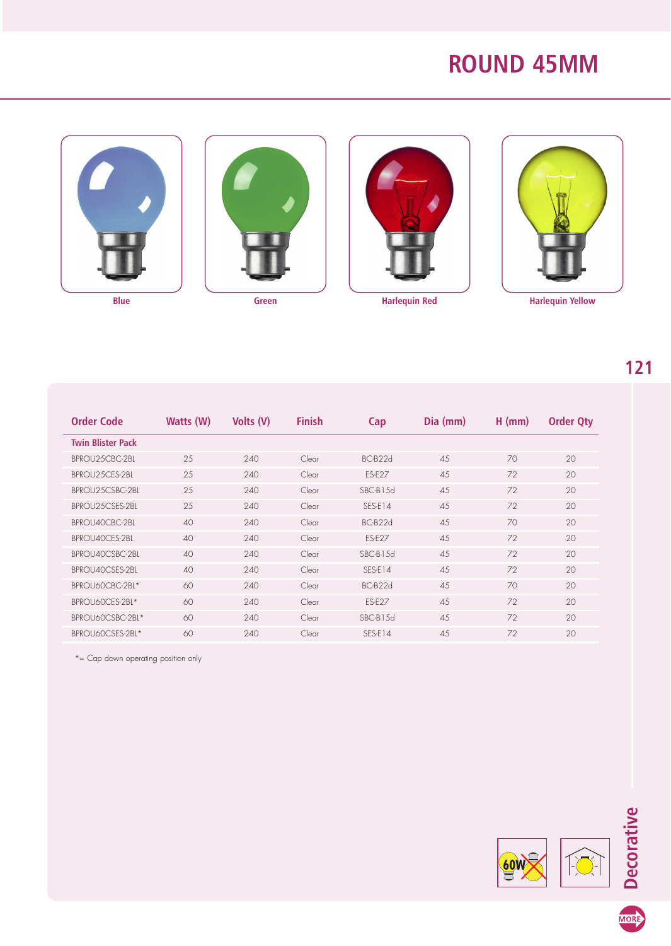## **ROUND 45MM**









**121**

| Order Code               | Watts (W) | Volts (V) | <b>Finish</b> | Cap       | Dia (mm) | $H$ (mm) | <b>Order Qty</b> |
|--------------------------|-----------|-----------|---------------|-----------|----------|----------|------------------|
| <b>Twin Blister Pack</b> |           |           |               |           |          |          |                  |
| BPROU25CBC-2BL           | 25        | 240       | Clear         | BC-B22d   | 4.5      | 70       | 20               |
| BPROU25CES-2BL           | 25        | 240       | Clear         | ES-E27    | 4.5      | 72       | 20               |
| BPROU25CSBC-2BL          | 25        | 240       | Clear         | SBC-B1.5d | 4.5      | 72       | 20               |
| BPROU2.5CSES-2BL         | 25        | 240       | Clear         | SES-E14   | 4.5      | 72       | 20               |
| BPROU40CBC-2BL           | 40        | 240       | Clear         | BC-B22d   | 4.5      | 70       | 20               |
| BPROU40CES-2BL           | 40        | 240       | Clear         | ES-E27    | 4.5      | 72       | 20               |
| BPROU40CSBC-2BL          | 40        | 240       | Clear         | SBC-B1.5d | 4.5      | 72       | 20               |
| BPROU40CSES-2BL          | 40        | 240       | Clear         | SES-F14   | 4.5      | 72       | 20               |
| BPROU60CBC-2BL*          | 60        | 240       | Clear         | BC-B22d   | 4.5      | 70       | 20               |
| BPROU60CES-2BL*          | 60        | 240       | Clear         | ES-E27    | 45       | 72       | 20               |
| BPROUGOCSBC-2BL*         | 60        | 240       | Clear         | SBC-B15d  | 4.5      | 72       | 20               |
| BPROUGOCSES-2BL*         | 60        | 240       | Clear         | SES-E14   | 4.5      | 72       | 20               |

\*= Cap down operating position only



MORE